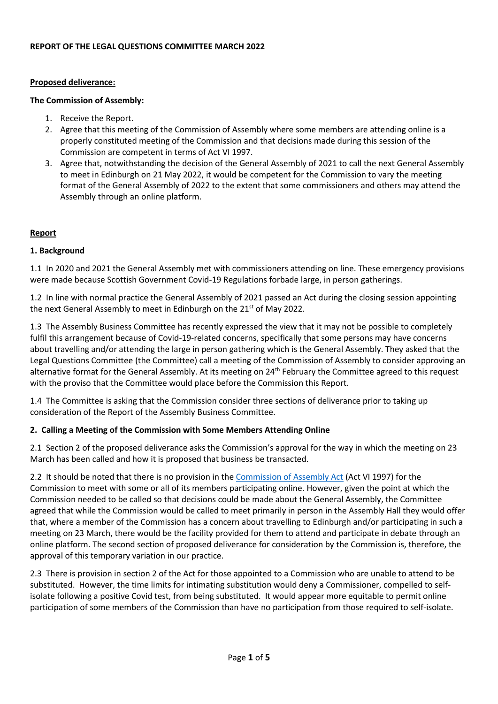#### **Proposed deliverance:**

#### **The Commission of Assembly:**

- 1. Receive the Report.
- 2. Agree that this meeting of the Commission of Assembly where some members are attending online is a properly constituted meeting of the Commission and that decisions made during this session of the Commission are competent in terms of Act VI 1997.
- 3. Agree that, notwithstanding the decision of the General Assembly of 2021 to call the next General Assembly to meet in Edinburgh on 21 May 2022, it would be competent for the Commission to vary the meeting format of the General Assembly of 2022 to the extent that some commissioners and others may attend the Assembly through an online platform.

#### **Report**

## **1. Background**

1.1 In 2020 and 2021 the General Assembly met with commissioners attending on line. These emergency provisions were made because Scottish Government Covid-19 Regulations forbade large, in person gatherings.

1.2 In line with normal practice the General Assembly of 2021 passed an Act during the closing session appointing the next General Assembly to meet in Edinburgh on the  $21<sup>st</sup>$  of May 2022.

1.3 The Assembly Business Committee has recently expressed the view that it may not be possible to completely fulfil this arrangement because of Covid-19-related concerns, specifically that some persons may have concerns about travelling and/or attending the large in person gathering which is the General Assembly. They asked that the Legal Questions Committee (the Committee) call a meeting of the Commission of Assembly to consider approving an alternative format for the General Assembly. At its meeting on 24<sup>th</sup> February the Committee agreed to this request with the proviso that the Committee would place before the Commission this Report.

1.4 The Committee is asking that the Commission consider three sections of deliverance prior to taking up consideration of the Report of the Assembly Business Committee.

## **2. Calling a Meeting of the Commission with Some Members Attending Online**

2.1 Section 2 of the proposed deliverance asks the Commission's approval for the way in which the meeting on 23 March has been called and how it is proposed that business be transacted.

2.2 It should be noted that there is no provision in the [Commission of Assembly Act](https://www.churchofscotland.org.uk/__data/assets/pdf_file/0015/72024/1997-Act-06-VI-revised-to-October-2020.pdf) (Act VI 1997) for the Commission to meet with some or all of its members participating online. However, given the point at which the Commission needed to be called so that decisions could be made about the General Assembly, the Committee agreed that while the Commission would be called to meet primarily in person in the Assembly Hall they would offer that, where a member of the Commission has a concern about travelling to Edinburgh and/or participating in such a meeting on 23 March, there would be the facility provided for them to attend and participate in debate through an online platform. The second section of proposed deliverance for consideration by the Commission is, therefore, the approval of this temporary variation in our practice.

2.3 There is provision in section 2 of the Act for those appointed to a Commission who are unable to attend to be substituted. However, the time limits for intimating substitution would deny a Commissioner, compelled to selfisolate following a positive Covid test, from being substituted. It would appear more equitable to permit online participation of some members of the Commission than have no participation from those required to self-isolate.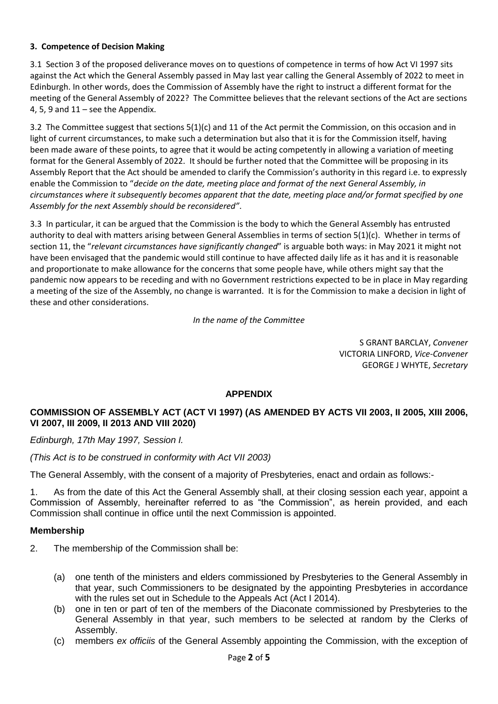## **3. Competence of Decision Making**

3.1 Section 3 of the proposed deliverance moves on to questions of competence in terms of how Act VI 1997 sits against the Act which the General Assembly passed in May last year calling the General Assembly of 2022 to meet in Edinburgh. In other words, does the Commission of Assembly have the right to instruct a different format for the meeting of the General Assembly of 2022? The Committee believes that the relevant sections of the Act are sections 4, 5, 9 and  $11$  – see the Appendix.

3.2 The Committee suggest that sections 5(1)(c) and 11 of the Act permit the Commission, on this occasion and in light of current circumstances, to make such a determination but also that it is for the Commission itself, having been made aware of these points, to agree that it would be acting competently in allowing a variation of meeting format for the General Assembly of 2022. It should be further noted that the Committee will be proposing in its Assembly Report that the Act should be amended to clarify the Commission's authority in this regard i.e. to expressly enable the Commission to "*decide on the date, meeting place and format of the next General Assembly, in circumstances where it subsequently becomes apparent that the date, meeting place and/or format specified by one Assembly for the next Assembly should be reconsidered"*.

3.3 In particular, it can be argued that the Commission is the body to which the General Assembly has entrusted authority to deal with matters arising between General Assemblies in terms of section 5(1)(c). Whether in terms of section 11, the "*relevant circumstances have significantly changed*" is arguable both ways: in May 2021 it might not have been envisaged that the pandemic would still continue to have affected daily life as it has and it is reasonable and proportionate to make allowance for the concerns that some people have, while others might say that the pandemic now appears to be receding and with no Government restrictions expected to be in place in May regarding a meeting of the size of the Assembly, no change is warranted. It is for the Commission to make a decision in light of these and other considerations.

## *In the name of the Committee*

S GRANT BARCLAY, *Convener* VICTORIA LINFORD, *Vice-Convener* GEORGE J WHYTE, *Secretary*

# **APPENDIX**

# **COMMISSION OF ASSEMBLY ACT (ACT VI 1997) (AS AMENDED BY ACTS VII 2003, II 2005, XIII 2006, VI 2007, III 2009, II 2013 AND VIII 2020)**

*Edinburgh, 17th May 1997, Session I.*

*(This Act is to be construed in conformity with Act VII 2003)*

The General Assembly, with the consent of a majority of Presbyteries, enact and ordain as follows:-

1. As from the date of this Act the General Assembly shall, at their closing session each year, appoint a Commission of Assembly, hereinafter referred to as "the Commission", as herein provided, and each Commission shall continue in office until the next Commission is appointed.

## **Membership**

- 2. The membership of the Commission shall be:
	- (a) one tenth of the ministers and elders commissioned by Presbyteries to the General Assembly in that year, such Commissioners to be designated by the appointing Presbyteries in accordance with the rules set out in Schedule to the Appeals Act (Act I 2014).
	- (b) one in ten or part of ten of the members of the Diaconate commissioned by Presbyteries to the General Assembly in that year, such members to be selected at random by the Clerks of Assembly.
	- (c) members *ex officiis* of the General Assembly appointing the Commission, with the exception of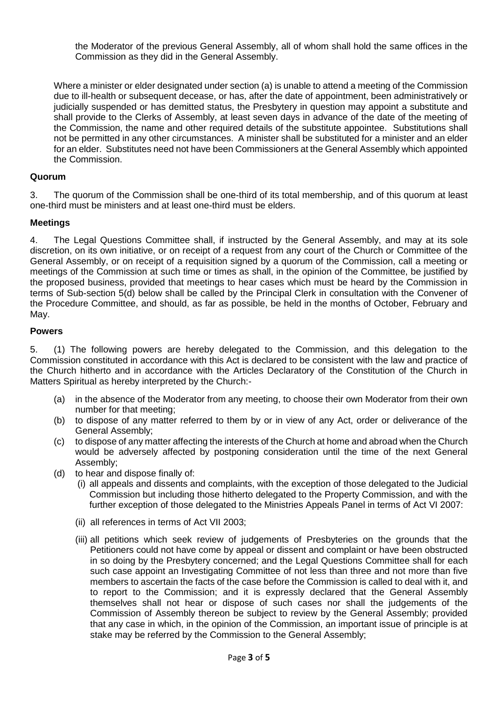the Moderator of the previous General Assembly, all of whom shall hold the same offices in the Commission as they did in the General Assembly.

Where a minister or elder designated under section (a) is unable to attend a meeting of the Commission due to ill-health or subsequent decease, or has, after the date of appointment, been administratively or judicially suspended or has demitted status, the Presbytery in question may appoint a substitute and shall provide to the Clerks of Assembly, at least seven days in advance of the date of the meeting of the Commission, the name and other required details of the substitute appointee. Substitutions shall not be permitted in any other circumstances. A minister shall be substituted for a minister and an elder for an elder. Substitutes need not have been Commissioners at the General Assembly which appointed the Commission.

## **Quorum**

3. The quorum of the Commission shall be one-third of its total membership, and of this quorum at least one-third must be ministers and at least one-third must be elders.

## **Meetings**

4. The Legal Questions Committee shall, if instructed by the General Assembly, and may at its sole discretion, on its own initiative, or on receipt of a request from any court of the Church or Committee of the General Assembly, or on receipt of a requisition signed by a quorum of the Commission, call a meeting or meetings of the Commission at such time or times as shall, in the opinion of the Committee, be justified by the proposed business, provided that meetings to hear cases which must be heard by the Commission in terms of Sub-section 5(d) below shall be called by the Principal Clerk in consultation with the Convener of the Procedure Committee, and should, as far as possible, be held in the months of October, February and May.

#### **Powers**

5. (1) The following powers are hereby delegated to the Commission, and this delegation to the Commission constituted in accordance with this Act is declared to be consistent with the law and practice of the Church hitherto and in accordance with the Articles Declaratory of the Constitution of the Church in Matters Spiritual as hereby interpreted by the Church:-

- (a) in the absence of the Moderator from any meeting, to choose their own Moderator from their own number for that meeting;
- (b) to dispose of any matter referred to them by or in view of any Act, order or deliverance of the General Assembly;
- (c) to dispose of any matter affecting the interests of the Church at home and abroad when the Church would be adversely affected by postponing consideration until the time of the next General Assembly;
- (d) to hear and dispose finally of:
	- (i) all appeals and dissents and complaints, with the exception of those delegated to the Judicial Commission but including those hitherto delegated to the Property Commission, and with the further exception of those delegated to the Ministries Appeals Panel in terms of Act VI 2007:
	- (ii) all references in terms of Act VII 2003;
	- (iii) all petitions which seek review of judgements of Presbyteries on the grounds that the Petitioners could not have come by appeal or dissent and complaint or have been obstructed in so doing by the Presbytery concerned; and the Legal Questions Committee shall for each such case appoint an Investigating Committee of not less than three and not more than five members to ascertain the facts of the case before the Commission is called to deal with it, and to report to the Commission; and it is expressly declared that the General Assembly themselves shall not hear or dispose of such cases nor shall the judgements of the Commission of Assembly thereon be subject to review by the General Assembly; provided that any case in which, in the opinion of the Commission, an important issue of principle is at stake may be referred by the Commission to the General Assembly;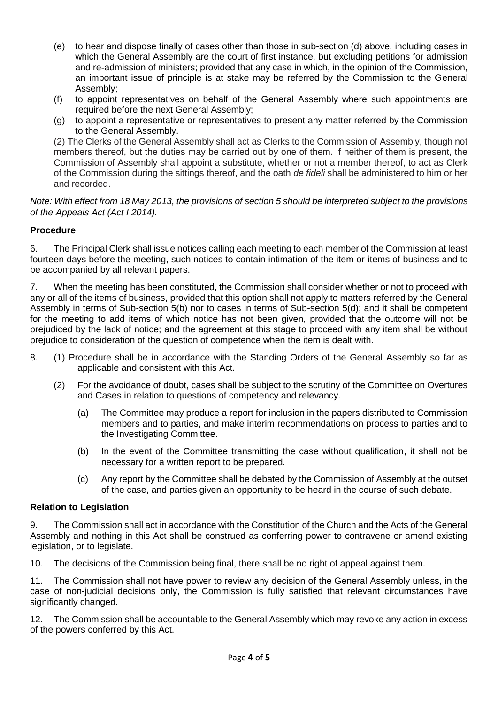- (e) to hear and dispose finally of cases other than those in sub-section (d) above, including cases in which the General Assembly are the court of first instance, but excluding petitions for admission and re-admission of ministers; provided that any case in which, in the opinion of the Commission, an important issue of principle is at stake may be referred by the Commission to the General Assembly;
- (f) to appoint representatives on behalf of the General Assembly where such appointments are required before the next General Assembly;
- (g) to appoint a representative or representatives to present any matter referred by the Commission to the General Assembly.

(2) The Clerks of the General Assembly shall act as Clerks to the Commission of Assembly, though not members thereof, but the duties may be carried out by one of them. If neither of them is present, the Commission of Assembly shall appoint a substitute, whether or not a member thereof, to act as Clerk of the Commission during the sittings thereof, and the oath *de fideli* shall be administered to him or her and recorded.

*Note: With effect from 18 May 2013, the provisions of section 5 should be interpreted subject to the provisions of the Appeals Act (Act I 2014).*

# **Procedure**

6. The Principal Clerk shall issue notices calling each meeting to each member of the Commission at least fourteen days before the meeting, such notices to contain intimation of the item or items of business and to be accompanied by all relevant papers.

7. When the meeting has been constituted, the Commission shall consider whether or not to proceed with any or all of the items of business, provided that this option shall not apply to matters referred by the General Assembly in terms of Sub-section 5(b) nor to cases in terms of Sub-section 5(d); and it shall be competent for the meeting to add items of which notice has not been given, provided that the outcome will not be prejudiced by the lack of notice; and the agreement at this stage to proceed with any item shall be without prejudice to consideration of the question of competence when the item is dealt with.

- 8. (1) Procedure shall be in accordance with the Standing Orders of the General Assembly so far as applicable and consistent with this Act.
	- (2) For the avoidance of doubt, cases shall be subject to the scrutiny of the Committee on Overtures and Cases in relation to questions of competency and relevancy.
		- (a) The Committee may produce a report for inclusion in the papers distributed to Commission members and to parties, and make interim recommendations on process to parties and to the Investigating Committee.
		- (b) In the event of the Committee transmitting the case without qualification, it shall not be necessary for a written report to be prepared.
		- (c) Any report by the Committee shall be debated by the Commission of Assembly at the outset of the case, and parties given an opportunity to be heard in the course of such debate.

# **Relation to Legislation**

9. The Commission shall act in accordance with the Constitution of the Church and the Acts of the General Assembly and nothing in this Act shall be construed as conferring power to contravene or amend existing legislation, or to legislate.

10. The decisions of the Commission being final, there shall be no right of appeal against them.

11. The Commission shall not have power to review any decision of the General Assembly unless, in the case of non-judicial decisions only, the Commission is fully satisfied that relevant circumstances have significantly changed.

12. The Commission shall be accountable to the General Assembly which may revoke any action in excess of the powers conferred by this Act.